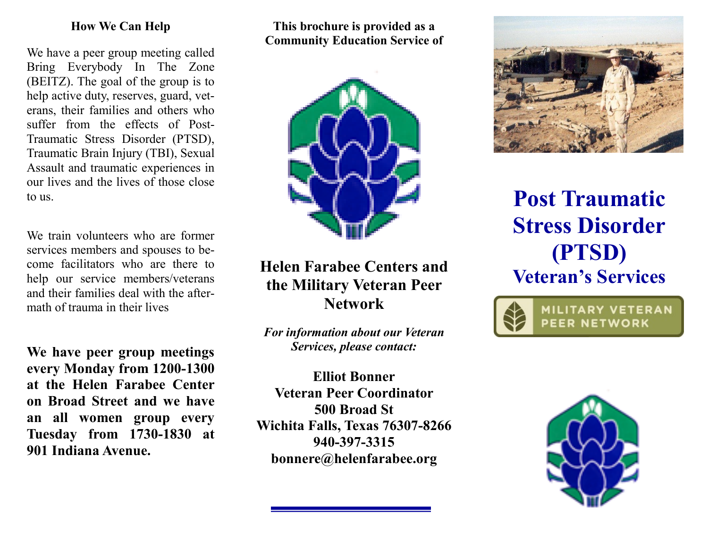#### **How We Can Help**

We have a peer group meeting called Bring Everybody In The Zone (BEITZ). The goal of the group is to help active duty, reserves, guard, veterans, their families and others who suffer from the effects of Post-Traumatic Stress Disorder (PTSD), Traumatic Brain Injury (TBI), Sexual Assault and traumatic experiences in our lives and the lives of those close to us.

We train volunteers who are former services members and spouses to become facilitators who are there to help our service members/veterans and their families deal with the aftermath of trauma in their lives

**We have peer group meetings every Monday from 1200-1300 at the Helen Farabee Center on Broad Street and we have an all women group every Tuesday from 1730-1830 at 901 Indiana Avenue.**

**This brochure is provided as a Community Education Service of**



# **Helen Farabee Centers and the Military Veteran Peer Network**

*For information about our Veteran Services, please contact:*

**Elliot Bonner Veteran Peer Coordinator 500 Broad St Wichita Falls, Texas 76307-8266 940-397-3315 bonnere@helenfarabee.org**



# **Post Traumatic Stress Disorder (PTSD) Veteran's Services**